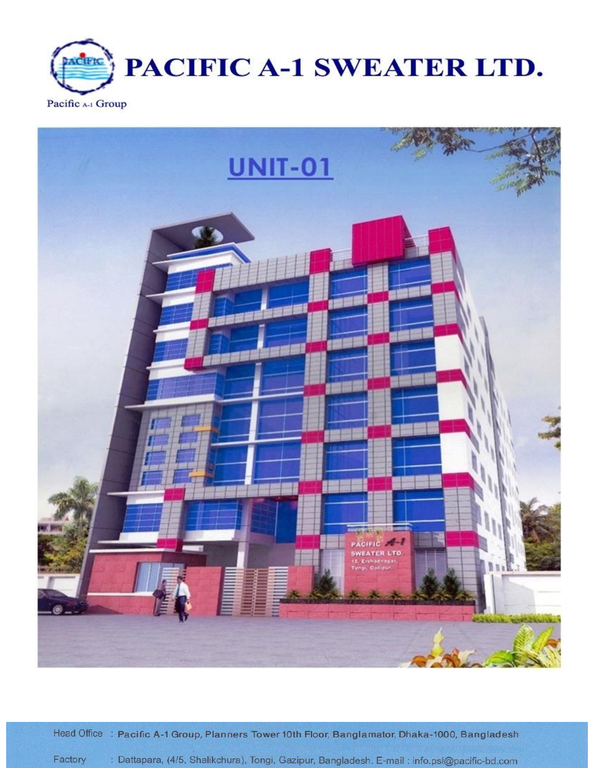



Head Office : Pacific A-1 Group, Planners Tower 10th Floor, Banglamator, Dhaka-1000, Bangladesh : Dattapara, (4/5, Shalikchura), Tongi, Gazipur, Bangladesh. E-mail : info.psl@pacific-bd.com Factory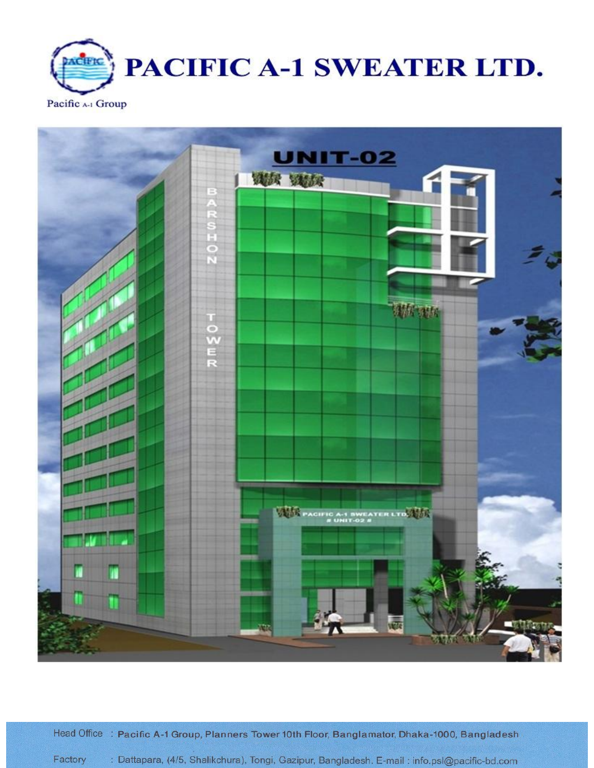



Head Office : Pacific A-1 Group, Planners Tower 10th Floor, Banglamator, Dhaka-1000, Bangladesh : Dattapara, (4/5, Shalikchura), Tongi, Gazipur, Bangladesh. E-mail : info.psl@pacific-bd.com Factory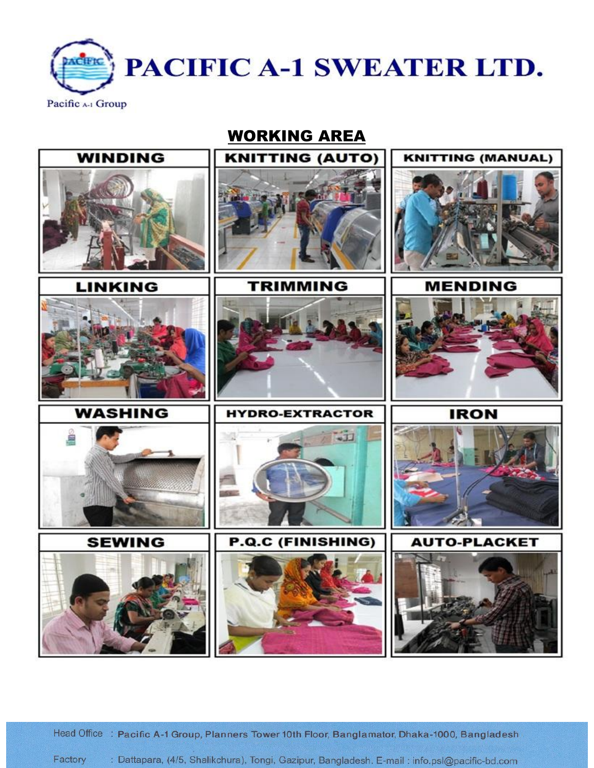

WORKING AREA



Head Office : Pacific A-1 Group, Planners Tower 10th Floor, Banglamator, Dhaka-1000, Bangladesh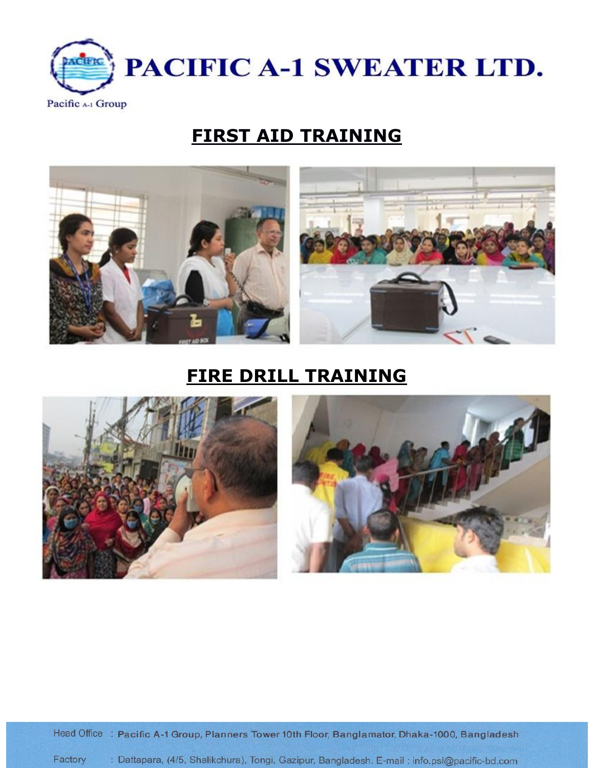

# **FIRST AID TRAINING**



# **FIRE DRILL TRAINING**



Head Office : Pacific A-1 Group, Planners Tower 10th Floor, Banglamator, Dhaka-1000, Bangladesh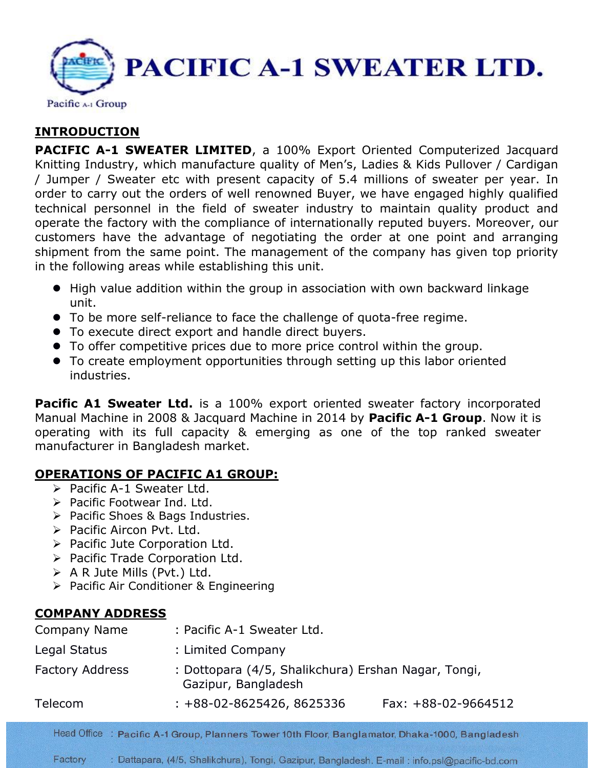

# **INTRODUCTION**

**PACIFIC A-1 SWEATER LIMITED, a 100% Export Oriented Computerized Jacquard** Knitting Industry, which manufacture quality of Men's, Ladies & Kids Pullover / Cardigan / Jumper / Sweater etc with present capacity of 5.4 millions of sweater per year. In order to carry out the orders of well renowned Buyer, we have engaged highly qualified technical personnel in the field of sweater industry to maintain quality product and operate the factory with the compliance of internationally reputed buyers. Moreover, our customers have the advantage of negotiating the order at one point and arranging shipment from the same point. The management of the company has given top priority in the following areas while establishing this unit.

- High value addition within the group in association with own backward linkage unit.
- To be more self-reliance to face the challenge of quota-free regime.
- To execute direct export and handle direct buyers.
- To offer competitive prices due to more price control within the group.
- To create employment opportunities through setting up this labor oriented industries.

**Pacific A1 Sweater Ltd.** is a 100% export oriented sweater factory incorporated Manual Machine in 2008 & Jacquard Machine in 2014 by **Pacific A-1 Group**. Now it is operating with its full capacity & emerging as one of the top ranked sweater manufacturer in Bangladesh market.

## **OPERATIONS OF PACIFIC A1 GROUP:**

- $\triangleright$  Pacific A-1 Sweater Ltd.
- $\triangleright$  Pacific Footwear Ind. Ltd.
- ▶ Pacific Shoes & Bags Industries.
- $\triangleright$  Pacific Aircon Pvt. Ltd.
- $\triangleright$  Pacific Jute Corporation Ltd.
- $\triangleright$  Pacific Trade Corporation Ltd.
- $\triangleright$  A R Jute Mills (Pvt.) Ltd.
- ▶ Pacific Air Conditioner & Engineering

## **COMPANY ADDRESS**

| Company Name           | : Pacific A-1 Sweater Ltd.      |                                                     |  |  |
|------------------------|---------------------------------|-----------------------------------------------------|--|--|
| Legal Status           | : Limited Company               |                                                     |  |  |
| <b>Factory Address</b> | Gazipur, Bangladesh             | : Dottopara (4/5, Shalikchura) Ershan Nagar, Tongi, |  |  |
| Telecom                | $: +88 - 02 - 8625426, 8625336$ | Fax: $+88-02-9664512$                               |  |  |
|                        |                                 |                                                     |  |  |

Head Office : Pacific A-1 Group, Planners Tower 10th Floor, Banglamator, Dhaka-1000, Bangladesh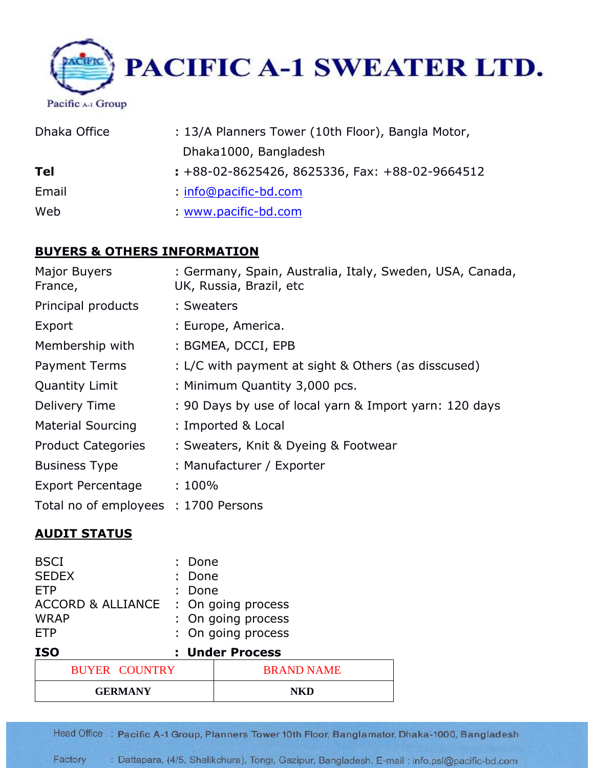

| Dhaka Office | : 13/A Planners Tower (10th Floor), Bangla Motor, |
|--------------|---------------------------------------------------|
|              | Dhaka1000, Bangladesh                             |
| <b>Tel</b>   | $: +88-02-8625426, 8625336, Fax: +88-02-9664512$  |
| Email        | $:$ info@pacific-bd.com                           |
| Web          | www.pacific-bd.com                                |

## **BUYERS & OTHERS INFORMATION**

| Major Buyers<br>France,              | : Germany, Spain, Australia, Italy, Sweden, USA, Canada,<br>UK, Russia, Brazil, etc |
|--------------------------------------|-------------------------------------------------------------------------------------|
| Principal products                   | : Sweaters                                                                          |
| Export                               | : Europe, America.                                                                  |
| Membership with                      | : BGMEA, DCCI, EPB                                                                  |
| <b>Payment Terms</b>                 | : L/C with payment at sight & Others (as disscused)                                 |
| Quantity Limit                       | : Minimum Quantity 3,000 pcs.                                                       |
| Delivery Time                        | : 90 Days by use of local yarn & Import yarn: 120 days                              |
| <b>Material Sourcing</b>             | : Imported & Local                                                                  |
| <b>Product Categories</b>            | : Sweaters, Knit & Dyeing & Footwear                                                |
| <b>Business Type</b>                 | : Manufacturer / Exporter                                                           |
| <b>Export Percentage</b>             | $:100\%$                                                                            |
| Total no of employees : 1700 Persons |                                                                                     |

## **AUDIT STATUS**

| <b>BSCI</b><br><b>SEDEX</b><br><b>ETP</b><br><b>ACCORD &amp; ALLIANCE</b> |  | : Done<br>: Done<br>: Done | : On going process                       |  |
|---------------------------------------------------------------------------|--|----------------------------|------------------------------------------|--|
| <b>WRAP</b><br><b>ETP</b>                                                 |  |                            | : On going process<br>: On going process |  |
| <b>ISO</b>                                                                |  |                            | : Under Process                          |  |
| <b>BUYER COUNTRY</b>                                                      |  |                            | <b>BRAND NAME</b>                        |  |
| <b>GERMANY</b>                                                            |  |                            |                                          |  |

Head Office : Pacific A-1 Group, Planners Tower 10th Floor, Banglamator, Dhaka-1000, Bangladesh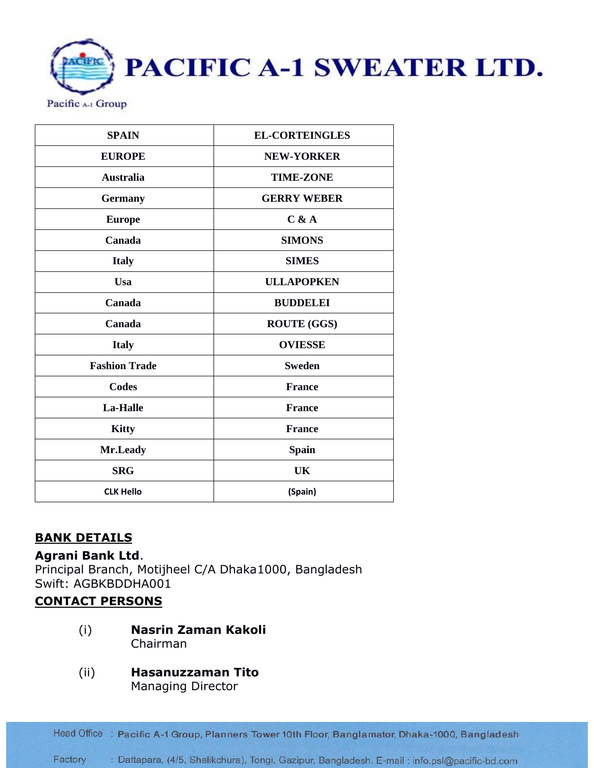PACIFIC A-1 SWEATER LTD. Pacific A-1 Group

| <b>SPAIN</b>             | <b>EL-CORTEINGLES</b> |  |
|--------------------------|-----------------------|--|
| <b>EUROPE</b>            | <b>NEW-YORKER</b>     |  |
| <b>Australia</b>         | <b>TIME-ZONE</b>      |  |
| <b>Germany</b>           | <b>GERRY WEBER</b>    |  |
| <b>Europe</b>            | C & A                 |  |
| Canada                   | <b>SIMONS</b>         |  |
| <b>Italy</b>             | <b>SIMES</b>          |  |
| <b>Usa</b>               | <b>ULLAPOPKEN</b>     |  |
| Canada                   | <b>BUDDELEI</b>       |  |
| Canada                   | <b>ROUTE (GGS)</b>    |  |
| <b>Italy</b>             | <b>OVIESSE</b>        |  |
| <b>Fashion Trade</b>     | <b>Sweden</b>         |  |
| Codes                    | <b>France</b>         |  |
| La-Halle                 | <b>France</b>         |  |
| <b>Kitty</b>             | <b>France</b>         |  |
| Mr.Leady<br><b>Spain</b> |                       |  |
| <b>SRG</b><br><b>UK</b>  |                       |  |
| <b>CLK Hello</b>         | (Spain)               |  |

## **BANK DETAILS**

**Agrani Bank Ltd**. Principal Branch, Motijheel C/A Dhaka1000, Bangladesh Swift: AGBKBDDHA001

## **CONTACT PERSONS**

(i) **Nasrin Zaman Kakoli**  Chairman

#### (ii) **Hasanuzzaman Tito**  Managing Director

Head Office : Pacific A-1 Group, Planners Tower 10th Floor, Banglamator, Dhaka-1000, Bangladesh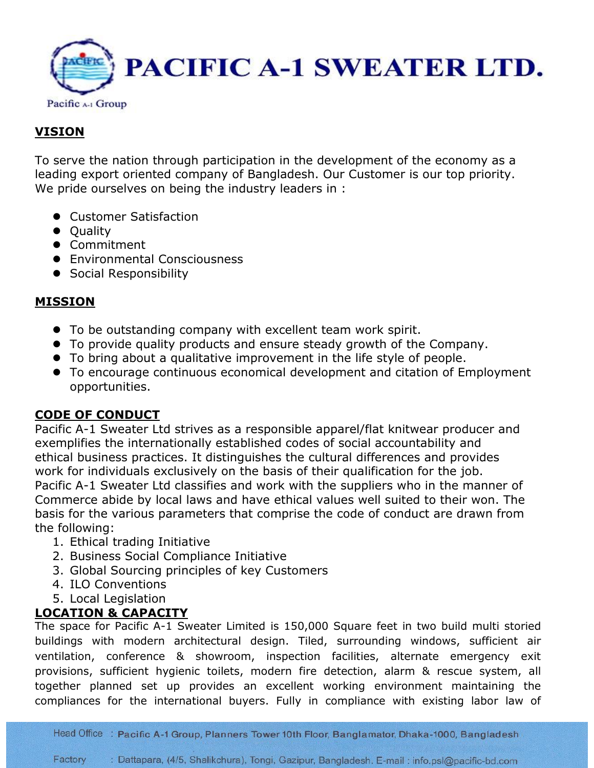

## **VISION**

To serve the nation through participation in the development of the economy as a leading export oriented company of Bangladesh. Our Customer is our top priority. We pride ourselves on being the industry leaders in :

- **Customer Satisfaction**
- Quality
- **•** Commitment
- **•** Environmental Consciousness
- **•** Social Responsibility

#### **MISSION**

- To be outstanding company with excellent team work spirit.
- To provide quality products and ensure steady growth of the Company.
- To bring about a qualitative improvement in the life style of people.
- To encourage continuous economical development and citation of Employment opportunities.

## **CODE OF CONDUCT**

Pacific A-1 Sweater Ltd strives as a responsible apparel/flat knitwear producer and exemplifies the internationally established codes of social accountability and ethical business practices. It distinguishes the cultural differences and provides work for individuals exclusively on the basis of their qualification for the job. Pacific A-1 Sweater Ltd classifies and work with the suppliers who in the manner of Commerce abide by local laws and have ethical values well suited to their won. The basis for the various parameters that comprise the code of conduct are drawn from the following:

- 1. Ethical trading Initiative
- 2. Business Social Compliance Initiative
- 3. Global Sourcing principles of key Customers
- 4. ILO Conventions
- 5. Local Legislation

## **LOCATION & CAPACITY**

The space for Pacific A-1 Sweater Limited is 150,000 Square feet in two build multi storied buildings with modern architectural design. Tiled, surrounding windows, sufficient air ventilation, conference & showroom, inspection facilities, alternate emergency exit provisions, sufficient hygienic toilets, modern fire detection, alarm & rescue system, all together planned set up provides an excellent working environment maintaining the compliances for the international buyers. Fully in compliance with existing labor law of

Head Office : Pacific A-1 Group, Planners Tower 10th Floor, Banglamator, Dhaka-1000, Bangladesh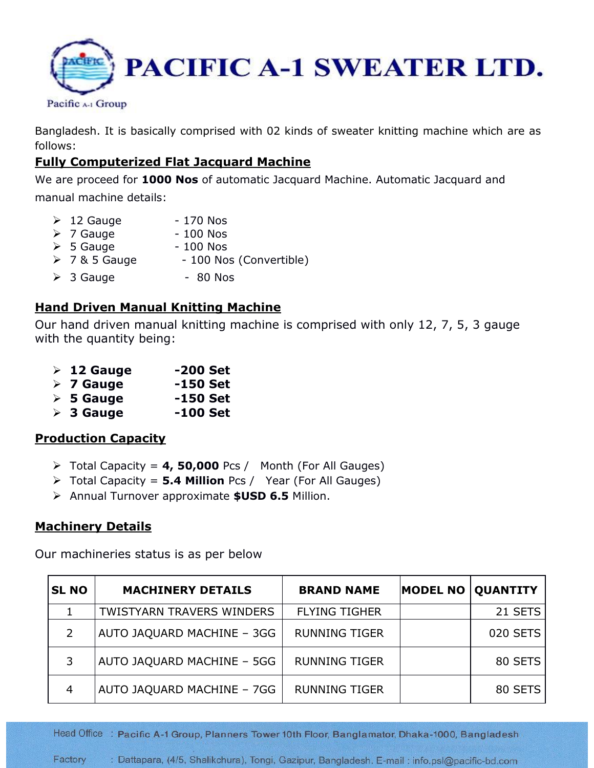

Bangladesh. It is basically comprised with 02 kinds of sweater knitting machine which are as follows:

## **Fully Computerized Flat Jacquard Machine**

We are proceed for **1000 Nos** of automatic Jacquard Machine. Automatic Jacquard and manual machine details:

| $\triangleright$ 12 Gauge | - 170 Nos               |
|---------------------------|-------------------------|
| $\triangleright$ 7 Gauge  | $-100$ Nos              |
| $\triangleright$ 5 Gauge  | $-100$ Nos              |
| $\geq 7$ & 5 Gauge        | - 100 Nos (Convertible) |
| $\triangleright$ 3 Gauge  | - 80 Nos                |

#### **Hand Driven Manual Knitting Machine**

Our hand driven manual knitting machine is comprised with only 12, 7, 5, 3 gauge with the quantity being:

|  |  | $\triangleright$ 12 Gauge | -200 Set |
|--|--|---------------------------|----------|
|--|--|---------------------------|----------|

- **7 Gauge -150 Set**
- **5 Gauge -150 Set**
- **3 Gauge -100 Set**

#### **Production Capacity**

- Total Capacity = **4, 50,000** Pcs / Month (For All Gauges)
- Total Capacity = **5.4 Million** Pcs / Year (For All Gauges)
- Annual Turnover approximate **\$USD 6.5** Million.

#### **Machinery Details**

Our machineries status is as per below

| <b>SL NO</b>   | <b>MACHINERY DETAILS</b>         | <b>BRAND NAME</b>    | <b>MODEL NO</b> | <b>QUANTITY</b> |
|----------------|----------------------------------|----------------------|-----------------|-----------------|
|                | <b>TWISTYARN TRAVERS WINDERS</b> | <b>FLYING TIGHER</b> |                 | 21 SETS         |
| $\overline{2}$ | AUTO JAQUARD MACHINE - 3GG       | <b>RUNNING TIGER</b> |                 | 020 SETS        |
| 3              | AUTO JAQUARD MACHINE - 5GG       | <b>RUNNING TIGER</b> |                 | 80 SETS         |
| 4              | AUTO JAQUARD MACHINE - 7GG       | <b>RUNNING TIGER</b> |                 | 80 SETS         |

Head Office : Pacific A-1 Group, Planners Tower 10th Floor, Banglamator, Dhaka-1000, Bangladesh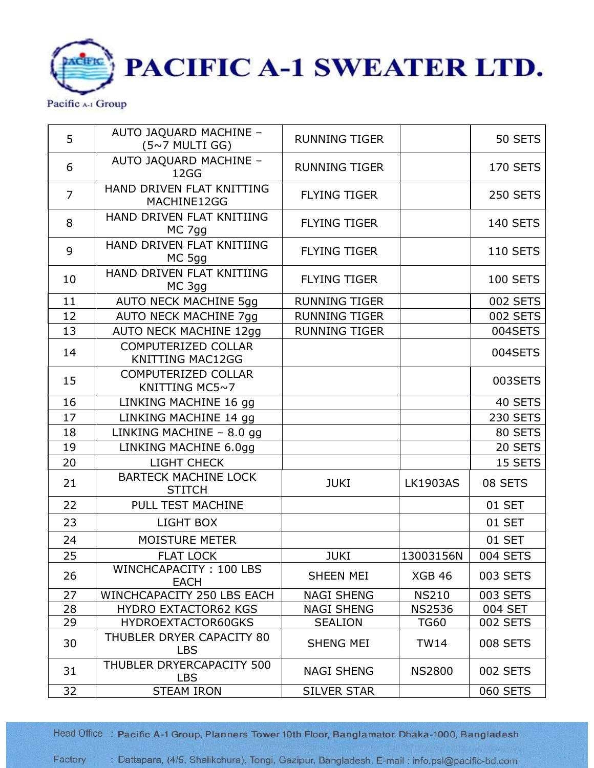PACIFIC A-1 SWEATER LTD. ACIFIC Pacific A-1 Group

| 5              | AUTO JAQUARD MACHINE -<br>(5~7 MULTI GG)       | <b>RUNNING TIGER</b> |                 | 50 SETS         |
|----------------|------------------------------------------------|----------------------|-----------------|-----------------|
| 6              | AUTO JAQUARD MACHINE -<br>12GG                 | <b>RUNNING TIGER</b> |                 | <b>170 SETS</b> |
| $\overline{7}$ | HAND DRIVEN FLAT KNITTING<br>MACHINE12GG       | <b>FLYING TIGER</b>  |                 | <b>250 SETS</b> |
| 8              | HAND DRIVEN FLAT KNITIING<br>MC 7gg            | <b>FLYING TIGER</b>  |                 | <b>140 SETS</b> |
| 9              | HAND DRIVEN FLAT KNITIING<br>MC 5gg            | <b>FLYING TIGER</b>  |                 | <b>110 SETS</b> |
| 10             | HAND DRIVEN FLAT KNITIING<br>MC 3gg            | <b>FLYING TIGER</b>  |                 | <b>100 SETS</b> |
| 11             | <b>AUTO NECK MACHINE 5gg</b>                   | <b>RUNNING TIGER</b> |                 | 002 SETS        |
| 12             | <b>AUTO NECK MACHINE 7gg</b>                   | <b>RUNNING TIGER</b> |                 | 002 SETS        |
| 13             | <b>AUTO NECK MACHINE 12gg</b>                  | <b>RUNNING TIGER</b> |                 | 004SETS         |
| 14             | COMPUTERIZED COLLAR<br><b>KNITTING MAC12GG</b> |                      |                 | 004SETS         |
| 15             | COMPUTERIZED COLLAR<br>KNITTING MC5~7          |                      |                 | 003SETS         |
| 16             | LINKING MACHINE 16 gg                          |                      |                 | 40 SETS         |
| 17             | LINKING MACHINE 14 gg                          |                      |                 | <b>230 SETS</b> |
| 18             | LINKING MACHINE - 8.0 gg                       |                      |                 | 80 SETS         |
| 19             | LINKING MACHINE 6.0gg                          |                      |                 | 20 SETS         |
| 20             | LIGHT CHECK                                    |                      |                 | 15 SETS         |
| 21             | <b>BARTECK MACHINE LOCK</b><br><b>STITCH</b>   | <b>JUKI</b>          | <b>LK1903AS</b> | 08 SETS         |
| 22             | PULL TEST MACHINE                              |                      |                 | 01 SET          |
| 23             | LIGHT BOX                                      |                      |                 | 01 SET          |
| 24             | <b>MOISTURE METER</b>                          |                      |                 | 01 SET          |
| 25             | <b>FLAT LOCK</b>                               | <b>JUKI</b>          | 13003156N       | 004 SETS        |
| 26             | WINCHCAPACITY: 100 LBS<br><b>EACH</b>          | SHEEN MEI            | <b>XGB 46</b>   | 003 SETS        |
| 27             | <b>WINCHCAPACITY 250 LBS EACH</b>              | <b>NAGI SHENG</b>    | <b>NS210</b>    | 003 SETS        |
| 28             | <b>HYDRO EXTACTOR62 KGS</b>                    | <b>NAGI SHENG</b>    | <b>NS2536</b>   | 004 SET         |
| 29             | HYDROEXTACTOR60GKS                             | <b>SEALION</b>       | <b>TG60</b>     | 002 SETS        |
| 30             | THUBLER DRYER CAPACITY 80<br><b>LBS</b>        | <b>SHENG MEI</b>     | <b>TW14</b>     | <b>008 SETS</b> |
| 31             | THUBLER DRYERCAPACITY 500<br><b>LBS</b>        | <b>NAGI SHENG</b>    | <b>NS2800</b>   | 002 SETS        |
| 32             | <b>STEAM IRON</b>                              | <b>SILVER STAR</b>   |                 | 060 SETS        |

Head Office : Pacific A-1 Group, Planners Tower 10th Floor, Banglamator, Dhaka-1000, Bangladesh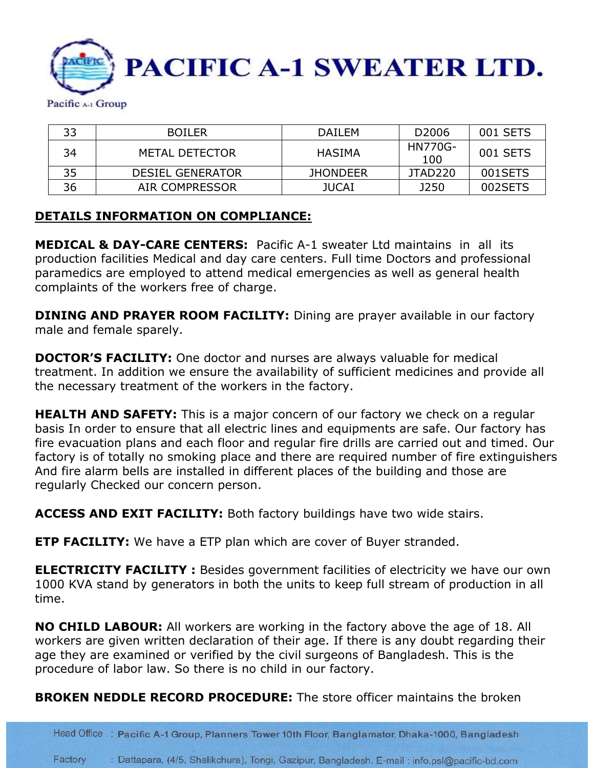

| 33 | <b>BOILER</b>           | <b>DAILEM</b>   | D <sub>2006</sub> | 001 SETS |
|----|-------------------------|-----------------|-------------------|----------|
| 34 | METAL DETECTOR          | HASIMA          | HN770G-<br>100    | 001 SETS |
| 35 | <b>DESIEL GENERATOR</b> | <b>JHONDEER</b> | JTAD220           | 001SETS  |
| 36 | AIR COMPRESSOR          | <b>JUCAI</b>    | J250              | 002SETS  |

#### **DETAILS INFORMATION ON COMPLIANCE:**

**MEDICAL & DAY-CARE CENTERS:** Pacific A-1 sweater Ltd maintains in all its production facilities Medical and day care centers. Full time Doctors and professional paramedics are employed to attend medical emergencies as well as general health complaints of the workers free of charge.

**DINING AND PRAYER ROOM FACILITY:** Dining are prayer available in our factory male and female sparely.

**DOCTOR'S FACILITY:** One doctor and nurses are always valuable for medical treatment. In addition we ensure the availability of sufficient medicines and provide all the necessary treatment of the workers in the factory.

**HEALTH AND SAFETY:** This is a major concern of our factory we check on a regular basis In order to ensure that all electric lines and equipments are safe. Our factory has fire evacuation plans and each floor and regular fire drills are carried out and timed. Our factory is of totally no smoking place and there are required number of fire extinguishers And fire alarm bells are installed in different places of the building and those are regularly Checked our concern person.

**ACCESS AND EXIT FACILITY:** Both factory buildings have two wide stairs.

**ETP FACILITY:** We have a ETP plan which are cover of Buyer stranded.

**ELECTRICITY FACILITY:** Besides government facilities of electricity we have our own 1000 KVA stand by generators in both the units to keep full stream of production in all time.

**NO CHILD LABOUR:** All workers are working in the factory above the age of 18. All workers are given written declaration of their age. If there is any doubt regarding their age they are examined or verified by the civil surgeons of Bangladesh. This is the procedure of labor law. So there is no child in our factory.

**BROKEN NEDDLE RECORD PROCEDURE:** The store officer maintains the broken

Head Office : Pacific A-1 Group, Planners Tower 10th Floor, Banglamator, Dhaka-1000, Bangladesh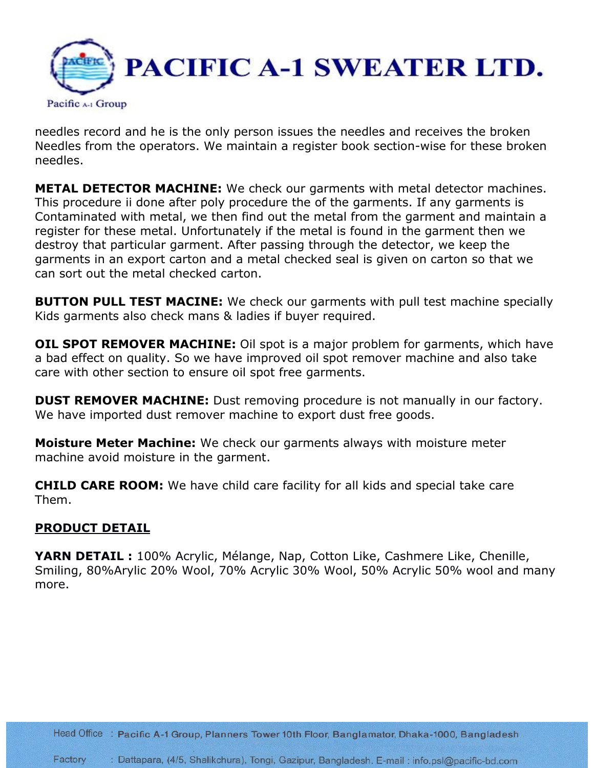

needles record and he is the only person issues the needles and receives the broken Needles from the operators. We maintain a register book section-wise for these broken needles.

**METAL DETECTOR MACHINE:** We check our garments with metal detector machines. This procedure ii done after poly procedure the of the garments. If any garments is Contaminated with metal, we then find out the metal from the garment and maintain a register for these metal. Unfortunately if the metal is found in the garment then we destroy that particular garment. After passing through the detector, we keep the garments in an export carton and a metal checked seal is given on carton so that we can sort out the metal checked carton.

**BUTTON PULL TEST MACINE:** We check our garments with pull test machine specially Kids garments also check mans & ladies if buyer required.

**OIL SPOT REMOVER MACHINE:** Oil spot is a major problem for garments, which have a bad effect on quality. So we have improved oil spot remover machine and also take care with other section to ensure oil spot free garments.

**DUST REMOVER MACHINE:** Dust removing procedure is not manually in our factory. We have imported dust remover machine to export dust free goods.

**Moisture Meter Machine:** We check our garments always with moisture meter machine avoid moisture in the garment.

**CHILD CARE ROOM:** We have child care facility for all kids and special take care Them.

## **PRODUCT DETAIL**

**YARN DETAIL :** 100% Acrylic, Mélange, Nap, Cotton Like, Cashmere Like, Chenille, Smiling, 80%Arylic 20% Wool, 70% Acrylic 30% Wool, 50% Acrylic 50% wool and many more.

Head Office : Pacific A-1 Group, Planners Tower 10th Floor, Banglamator, Dhaka-1000, Bangladesh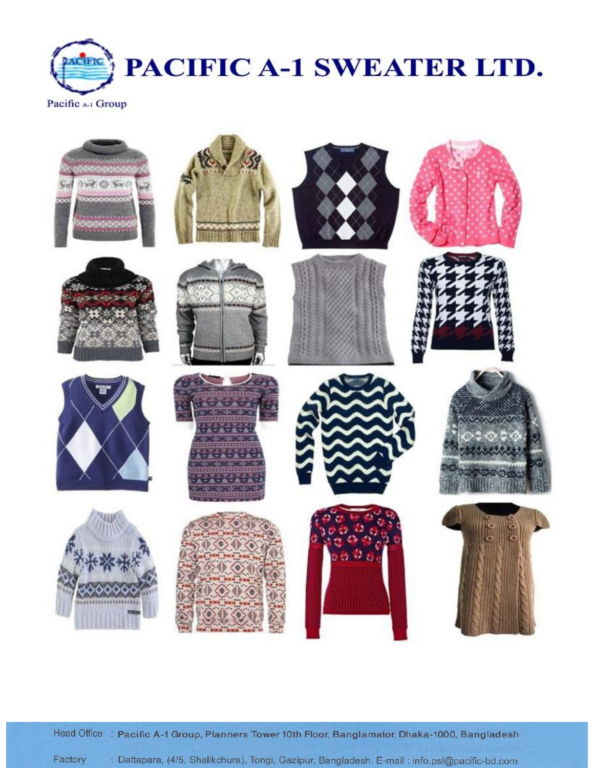



Head Office : Pacific A-1 Group, Planners Tower 10th Floor, Banglamator, Dhaka-1000, Bangladesh